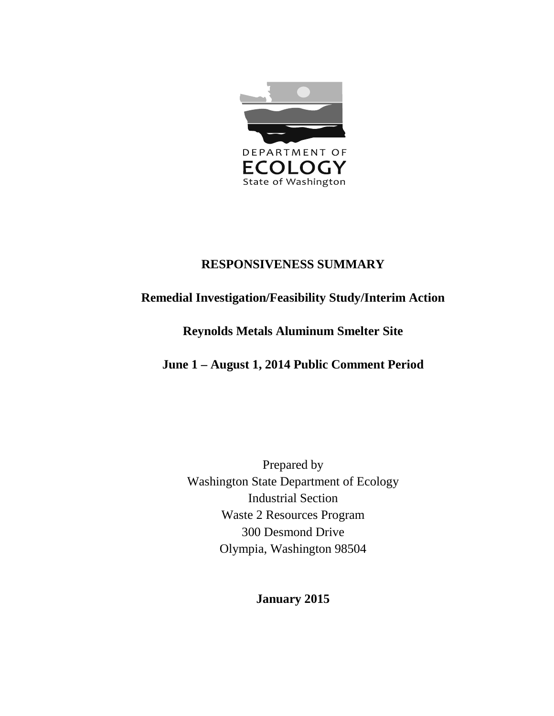

# **RESPONSIVENESS SUMMARY**

# **Remedial Investigation/Feasibility Study/Interim Action**

# **Reynolds Metals Aluminum Smelter Site**

# **June 1 – August 1, 2014 Public Comment Period**

Prepared by Washington State Department of Ecology Industrial Section Waste 2 Resources Program 300 Desmond Drive Olympia, Washington 98504

# **January 2015**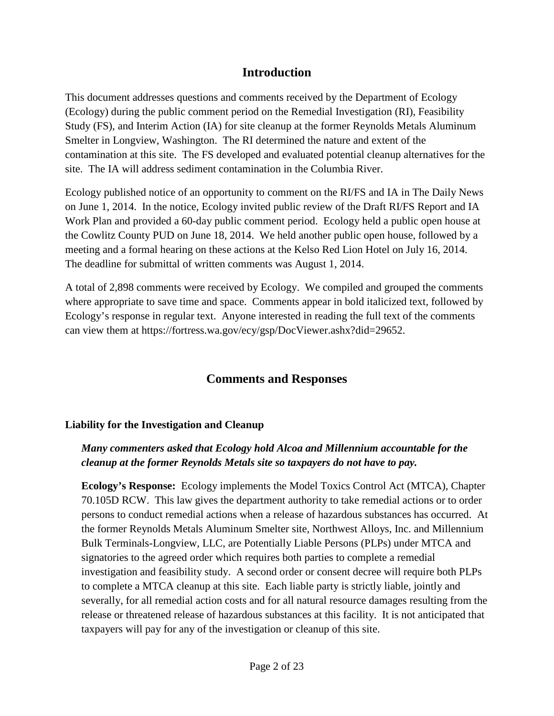# **Introduction**

This document addresses questions and comments received by the Department of Ecology (Ecology) during the public comment period on the Remedial Investigation (RI), Feasibility Study (FS), and Interim Action (IA) for site cleanup at the former Reynolds Metals Aluminum Smelter in Longview, Washington. The RI determined the nature and extent of the contamination at this site. The FS developed and evaluated potential cleanup alternatives for the site. The IA will address sediment contamination in the Columbia River.

Ecology published notice of an opportunity to comment on the RI/FS and IA in The Daily News on June 1, 2014. In the notice, Ecology invited public review of the Draft RI/FS Report and IA Work Plan and provided a 60-day public comment period. Ecology held a public open house at the Cowlitz County PUD on June 18, 2014. We held another public open house, followed by a meeting and a formal hearing on these actions at the Kelso Red Lion Hotel on July 16, 2014. The deadline for submittal of written comments was August 1, 2014.

A total of 2,898 comments were received by Ecology. We compiled and grouped the comments where appropriate to save time and space. Comments appear in bold italicized text, followed by Ecology's response in regular text. Anyone interested in reading the full text of the comments can view them at https://fortress.wa.gov/ecy/gsp/DocViewer.ashx?did=29652.

# **Comments and Responses**

### **Liability for the Investigation and Cleanup**

# *Many commenters asked that Ecology hold Alcoa and Millennium accountable for the cleanup at the former Reynolds Metals site so taxpayers do not have to pay.*

**Ecology's Response:** Ecology implements the Model Toxics Control Act (MTCA), Chapter 70.105D RCW. This law gives the department authority to take remedial actions or to order persons to conduct remedial actions when a release of hazardous substances has occurred. At the former Reynolds Metals Aluminum Smelter site, Northwest Alloys, Inc. and Millennium Bulk Terminals-Longview, LLC, are Potentially Liable Persons (PLPs) under MTCA and signatories to the agreed order which requires both parties to complete a remedial investigation and feasibility study. A second order or consent decree will require both PLPs to complete a MTCA cleanup at this site. Each liable party is strictly liable, jointly and severally, for all remedial action costs and for all natural resource damages resulting from the release or threatened release of hazardous substances at this facility. It is not anticipated that taxpayers will pay for any of the investigation or cleanup of this site.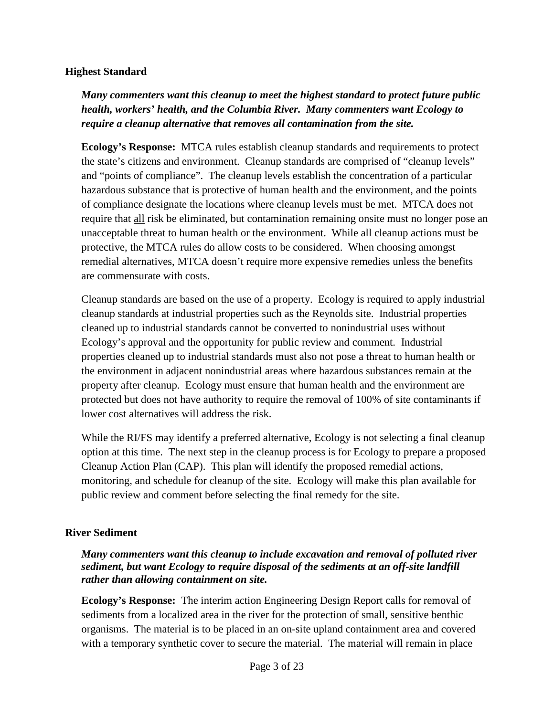#### **Highest Standard**

*Many commenters want this cleanup to meet the highest standard to protect future public health, workers' health, and the Columbia River. Many commenters want Ecology to require a cleanup alternative that removes all contamination from the site.*

**Ecology's Response:** MTCA rules establish cleanup standards and requirements to protect the state's citizens and environment. Cleanup standards are comprised of "cleanup levels" and "points of compliance". The cleanup levels establish the concentration of a particular hazardous substance that is protective of human health and the environment, and the points of compliance designate the locations where cleanup levels must be met. MTCA does not require that all risk be eliminated, but contamination remaining onsite must no longer pose an unacceptable threat to human health or the environment. While all cleanup actions must be protective, the MTCA rules do allow costs to be considered. When choosing amongst remedial alternatives, MTCA doesn't require more expensive remedies unless the benefits are commensurate with costs.

Cleanup standards are based on the use of a property. Ecology is required to apply industrial cleanup standards at industrial properties such as the Reynolds site. Industrial properties cleaned up to industrial standards cannot be converted to nonindustrial uses without Ecology's approval and the opportunity for public review and comment. Industrial properties cleaned up to industrial standards must also not pose a threat to human health or the environment in adjacent nonindustrial areas where hazardous substances remain at the property after cleanup. Ecology must ensure that human health and the environment are protected but does not have authority to require the removal of 100% of site contaminants if lower cost alternatives will address the risk.

While the RI/FS may identify a preferred alternative, Ecology is not selecting a final cleanup option at this time. The next step in the cleanup process is for Ecology to prepare a proposed Cleanup Action Plan (CAP). This plan will identify the proposed remedial actions, monitoring, and schedule for cleanup of the site. Ecology will make this plan available for public review and comment before selecting the final remedy for the site.

### **River Sediment**

### *Many commenters want this cleanup to include excavation and removal of polluted river sediment, but want Ecology to require disposal of the sediments at an off-site landfill rather than allowing containment on site.*

**Ecology's Response:** The interim action Engineering Design Report calls for removal of sediments from a localized area in the river for the protection of small, sensitive benthic organisms. The material is to be placed in an on-site upland containment area and covered with a temporary synthetic cover to secure the material. The material will remain in place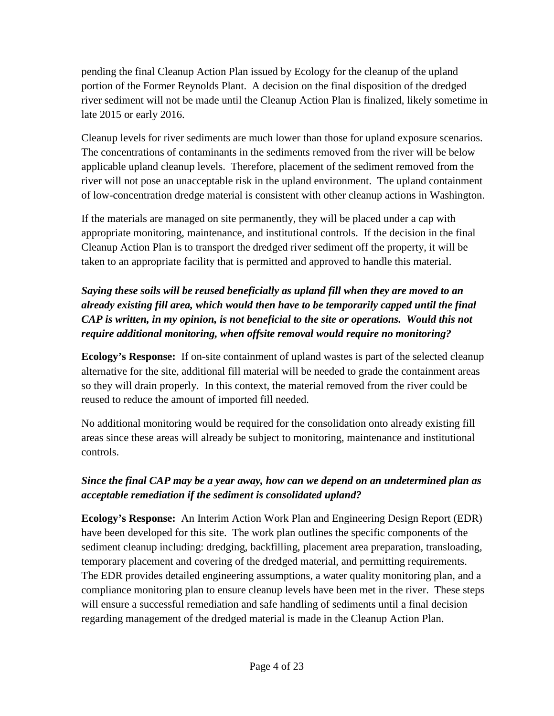pending the final Cleanup Action Plan issued by Ecology for the cleanup of the upland portion of the Former Reynolds Plant. A decision on the final disposition of the dredged river sediment will not be made until the Cleanup Action Plan is finalized, likely sometime in late 2015 or early 2016.

Cleanup levels for river sediments are much lower than those for upland exposure scenarios. The concentrations of contaminants in the sediments removed from the river will be below applicable upland cleanup levels. Therefore, placement of the sediment removed from the river will not pose an unacceptable risk in the upland environment. The upland containment of low-concentration dredge material is consistent with other cleanup actions in Washington.

If the materials are managed on site permanently, they will be placed under a cap with appropriate monitoring, maintenance, and institutional controls. If the decision in the final Cleanup Action Plan is to transport the dredged river sediment off the property, it will be taken to an appropriate facility that is permitted and approved to handle this material.

# *Saying these soils will be reused beneficially as upland fill when they are moved to an already existing fill area, which would then have to be temporarily capped until the final CAP is written, in my opinion, is not beneficial to the site or operations. Would this not require additional monitoring, when offsite removal would require no monitoring?*

**Ecology's Response:** If on-site containment of upland wastes is part of the selected cleanup alternative for the site, additional fill material will be needed to grade the containment areas so they will drain properly. In this context, the material removed from the river could be reused to reduce the amount of imported fill needed.

No additional monitoring would be required for the consolidation onto already existing fill areas since these areas will already be subject to monitoring, maintenance and institutional controls.

# *Since the final CAP may be a year away, how can we depend on an undetermined plan as acceptable remediation if the sediment is consolidated upland?*

**Ecology's Response:** An Interim Action Work Plan and Engineering Design Report (EDR) have been developed for this site. The work plan outlines the specific components of the sediment cleanup including: dredging, backfilling, placement area preparation, transloading, temporary placement and covering of the dredged material, and permitting requirements. The EDR provides detailed engineering assumptions, a water quality monitoring plan, and a compliance monitoring plan to ensure cleanup levels have been met in the river. These steps will ensure a successful remediation and safe handling of sediments until a final decision regarding management of the dredged material is made in the Cleanup Action Plan.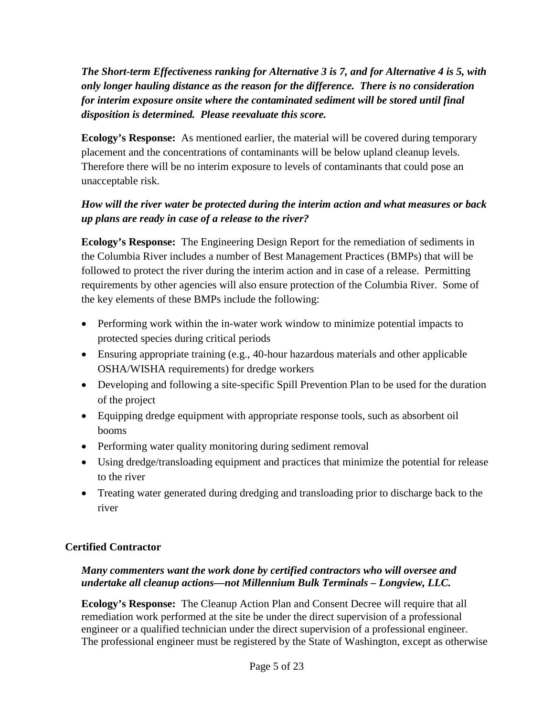*The Short-term Effectiveness ranking for Alternative 3 is 7, and for Alternative 4 is 5, with only longer hauling distance as the reason for the difference. There is no consideration for interim exposure onsite where the contaminated sediment will be stored until final disposition is determined. Please reevaluate this score.*

**Ecology's Response:** As mentioned earlier, the material will be covered during temporary placement and the concentrations of contaminants will be below upland cleanup levels. Therefore there will be no interim exposure to levels of contaminants that could pose an unacceptable risk.

# *How will the river water be protected during the interim action and what measures or back up plans are ready in case of a release to the river?*

**Ecology's Response:** The Engineering Design Report for the remediation of sediments in the Columbia River includes a number of Best Management Practices (BMPs) that will be followed to protect the river during the interim action and in case of a release. Permitting requirements by other agencies will also ensure protection of the Columbia River. Some of the key elements of these BMPs include the following:

- Performing work within the in-water work window to minimize potential impacts to protected species during critical periods
- Ensuring appropriate training (e.g., 40-hour hazardous materials and other applicable OSHA/WISHA requirements) for dredge workers
- Developing and following a site-specific Spill Prevention Plan to be used for the duration of the project
- Equipping dredge equipment with appropriate response tools, such as absorbent oil booms
- Performing water quality monitoring during sediment removal
- Using dredge/transloading equipment and practices that minimize the potential for release to the river
- Treating water generated during dredging and transloading prior to discharge back to the river

# **Certified Contractor**

# *Many commenters want the work done by certified contractors who will oversee and undertake all cleanup actions—not Millennium Bulk Terminals – Longview, LLC.*

**Ecology's Response:** The Cleanup Action Plan and Consent Decree will require that all remediation work performed at the site be under the direct supervision of a professional engineer or a qualified technician under the direct supervision of a professional engineer. The professional engineer must be registered by the State of Washington, except as otherwise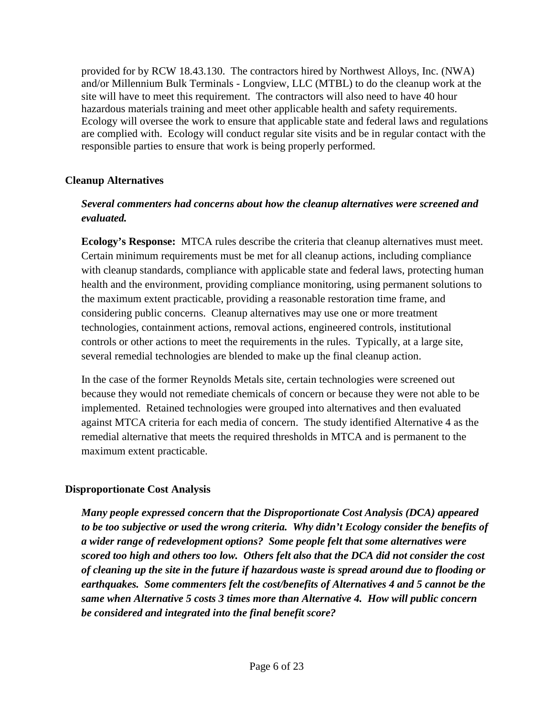provided for by RCW 18.43.130. The contractors hired by Northwest Alloys, Inc. (NWA) and/or Millennium Bulk Terminals - Longview, LLC (MTBL) to do the cleanup work at the site will have to meet this requirement. The contractors will also need to have 40 hour hazardous materials training and meet other applicable health and safety requirements. Ecology will oversee the work to ensure that applicable state and federal laws and regulations are complied with. Ecology will conduct regular site visits and be in regular contact with the responsible parties to ensure that work is being properly performed.

## **Cleanup Alternatives**

## *Several commenters had concerns about how the cleanup alternatives were screened and evaluated.*

**Ecology's Response:** MTCA rules describe the criteria that cleanup alternatives must meet. Certain minimum requirements must be met for all cleanup actions, including compliance with cleanup standards, compliance with applicable state and federal laws, protecting human health and the environment, providing compliance monitoring, using permanent solutions to the maximum extent practicable, providing a reasonable restoration time frame, and considering public concerns. Cleanup alternatives may use one or more treatment technologies, containment actions, removal actions, engineered controls, institutional controls or other actions to meet the requirements in the rules. Typically, at a large site, several remedial technologies are blended to make up the final cleanup action.

In the case of the former Reynolds Metals site, certain technologies were screened out because they would not remediate chemicals of concern or because they were not able to be implemented. Retained technologies were grouped into alternatives and then evaluated against MTCA criteria for each media of concern. The study identified Alternative 4 as the remedial alternative that meets the required thresholds in MTCA and is permanent to the maximum extent practicable.

### **Disproportionate Cost Analysis**

*Many people expressed concern that the Disproportionate Cost Analysis (DCA) appeared to be too subjective or used the wrong criteria. Why didn't Ecology consider the benefits of a wider range of redevelopment options? Some people felt that some alternatives were scored too high and others too low. Others felt also that the DCA did not consider the cost of cleaning up the site in the future if hazardous waste is spread around due to flooding or earthquakes. Some commenters felt the cost/benefits of Alternatives 4 and 5 cannot be the same when Alternative 5 costs 3 times more than Alternative 4. How will public concern be considered and integrated into the final benefit score?*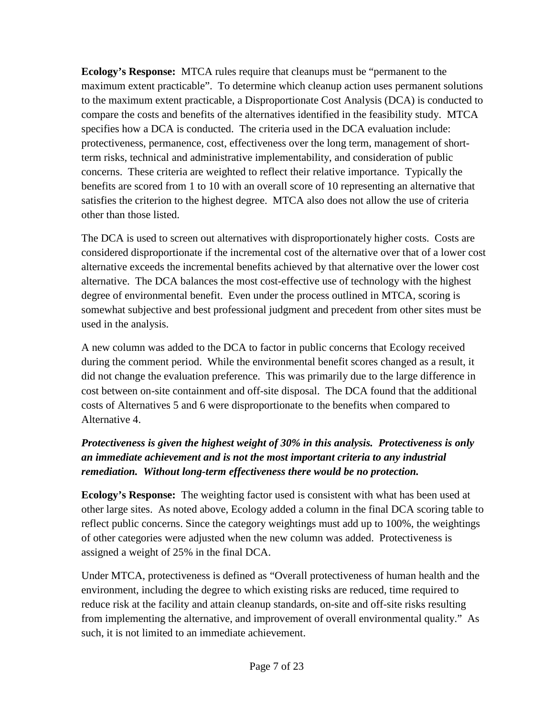**Ecology's Response:** MTCA rules require that cleanups must be "permanent to the maximum extent practicable". To determine which cleanup action uses permanent solutions to the maximum extent practicable, a Disproportionate Cost Analysis (DCA) is conducted to compare the costs and benefits of the alternatives identified in the feasibility study. MTCA specifies how a DCA is conducted. The criteria used in the DCA evaluation include: protectiveness, permanence, cost, effectiveness over the long term, management of shortterm risks, technical and administrative implementability, and consideration of public concerns. These criteria are weighted to reflect their relative importance. Typically the benefits are scored from 1 to 10 with an overall score of 10 representing an alternative that satisfies the criterion to the highest degree. MTCA also does not allow the use of criteria other than those listed.

The DCA is used to screen out alternatives with disproportionately higher costs. Costs are considered disproportionate if the incremental cost of the alternative over that of a lower cost alternative exceeds the incremental benefits achieved by that alternative over the lower cost alternative. The DCA balances the most cost-effective use of technology with the highest degree of environmental benefit. Even under the process outlined in MTCA, scoring is somewhat subjective and best professional judgment and precedent from other sites must be used in the analysis.

A new column was added to the DCA to factor in public concerns that Ecology received during the comment period. While the environmental benefit scores changed as a result, it did not change the evaluation preference. This was primarily due to the large difference in cost between on-site containment and off-site disposal. The DCA found that the additional costs of Alternatives 5 and 6 were disproportionate to the benefits when compared to Alternative 4.

# *Protectiveness is given the highest weight of 30% in this analysis. Protectiveness is only an immediate achievement and is not the most important criteria to any industrial remediation. Without long-term effectiveness there would be no protection.*

**Ecology's Response:** The weighting factor used is consistent with what has been used at other large sites. As noted above, Ecology added a column in the final DCA scoring table to reflect public concerns. Since the category weightings must add up to 100%, the weightings of other categories were adjusted when the new column was added. Protectiveness is assigned a weight of 25% in the final DCA.

Under MTCA, protectiveness is defined as "Overall protectiveness of human health and the environment, including the degree to which existing risks are reduced, time required to reduce risk at the facility and attain cleanup standards, on-site and off-site risks resulting from implementing the alternative, and improvement of overall environmental quality." As such, it is not limited to an immediate achievement.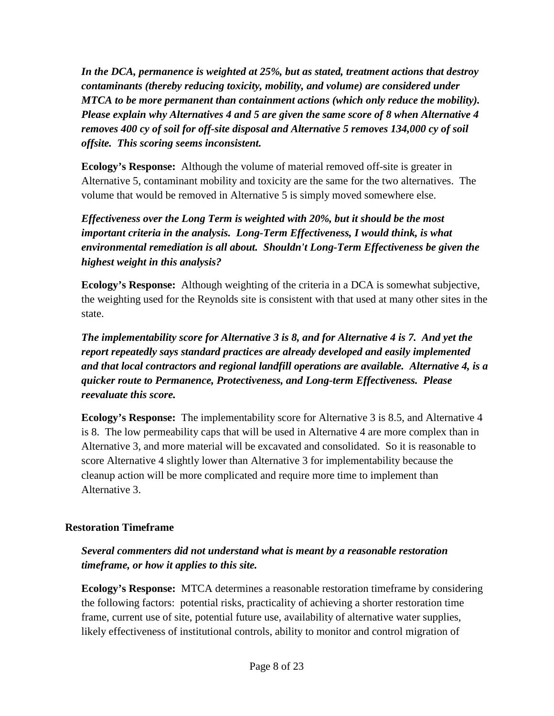*In the DCA, permanence is weighted at 25%, but as stated, treatment actions that destroy contaminants (thereby reducing toxicity, mobility, and volume) are considered under MTCA to be more permanent than containment actions (which only reduce the mobility). Please explain why Alternatives 4 and 5 are given the same score of 8 when Alternative 4 removes 400 cy of soil for off-site disposal and Alternative 5 removes 134,000 cy of soil offsite. This scoring seems inconsistent.*

**Ecology's Response:** Although the volume of material removed off-site is greater in Alternative 5, contaminant mobility and toxicity are the same for the two alternatives. The volume that would be removed in Alternative 5 is simply moved somewhere else.

*Effectiveness over the Long Term is weighted with 20%, but it should be the most important criteria in the analysis. Long-Term Effectiveness, I would think, is what environmental remediation is all about. Shouldn't Long-Term Effectiveness be given the highest weight in this analysis?*

**Ecology's Response:** Although weighting of the criteria in a DCA is somewhat subjective, the weighting used for the Reynolds site is consistent with that used at many other sites in the state.

*The implementability score for Alternative 3 is 8, and for Alternative 4 is 7. And yet the report repeatedly says standard practices are already developed and easily implemented and that local contractors and regional landfill operations are available. Alternative 4, is a quicker route to Permanence, Protectiveness, and Long-term Effectiveness. Please reevaluate this score.*

**Ecology's Response:** The implementability score for Alternative 3 is 8.5, and Alternative 4 is 8. The low permeability caps that will be used in Alternative 4 are more complex than in Alternative 3, and more material will be excavated and consolidated. So it is reasonable to score Alternative 4 slightly lower than Alternative 3 for implementability because the cleanup action will be more complicated and require more time to implement than Alternative 3.

### **Restoration Timeframe**

*Several commenters did not understand what is meant by a reasonable restoration timeframe, or how it applies to this site.*

**Ecology's Response:** MTCA determines a reasonable restoration timeframe by considering the following factors: potential risks, practicality of achieving a shorter restoration time frame, current use of site, potential future use, availability of alternative water supplies, likely effectiveness of institutional controls, ability to monitor and control migration of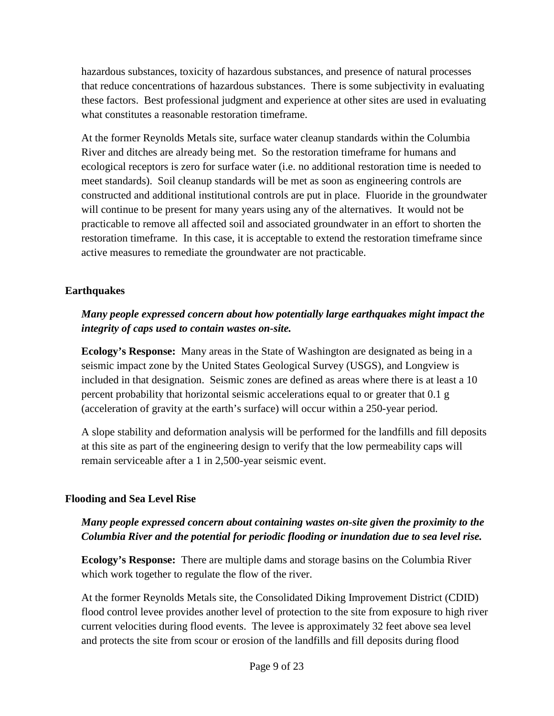hazardous substances, toxicity of hazardous substances, and presence of natural processes that reduce concentrations of hazardous substances. There is some subjectivity in evaluating these factors. Best professional judgment and experience at other sites are used in evaluating what constitutes a reasonable restoration timeframe.

At the former Reynolds Metals site, surface water cleanup standards within the Columbia River and ditches are already being met. So the restoration timeframe for humans and ecological receptors is zero for surface water (i.e. no additional restoration time is needed to meet standards). Soil cleanup standards will be met as soon as engineering controls are constructed and additional institutional controls are put in place. Fluoride in the groundwater will continue to be present for many years using any of the alternatives. It would not be practicable to remove all affected soil and associated groundwater in an effort to shorten the restoration timeframe. In this case, it is acceptable to extend the restoration timeframe since active measures to remediate the groundwater are not practicable.

# **Earthquakes**

# *Many people expressed concern about how potentially large earthquakes might impact the integrity of caps used to contain wastes on-site.*

**Ecology's Response:** Many areas in the State of Washington are designated as being in a seismic impact zone by the United States Geological Survey (USGS), and Longview is included in that designation. Seismic zones are defined as areas where there is at least a 10 percent probability that horizontal seismic accelerations equal to or greater that 0.1 g (acceleration of gravity at the earth's surface) will occur within a 250-year period.

A slope stability and deformation analysis will be performed for the landfills and fill deposits at this site as part of the engineering design to verify that the low permeability caps will remain serviceable after a 1 in 2,500-year seismic event.

#### **Flooding and Sea Level Rise**

### *Many people expressed concern about containing wastes on-site given the proximity to the Columbia River and the potential for periodic flooding or inundation due to sea level rise.*

**Ecology's Response:** There are multiple dams and storage basins on the Columbia River which work together to regulate the flow of the river.

At the former Reynolds Metals site, the Consolidated Diking Improvement District (CDID) flood control levee provides another level of protection to the site from exposure to high river current velocities during flood events. The levee is approximately 32 feet above sea level and protects the site from scour or erosion of the landfills and fill deposits during flood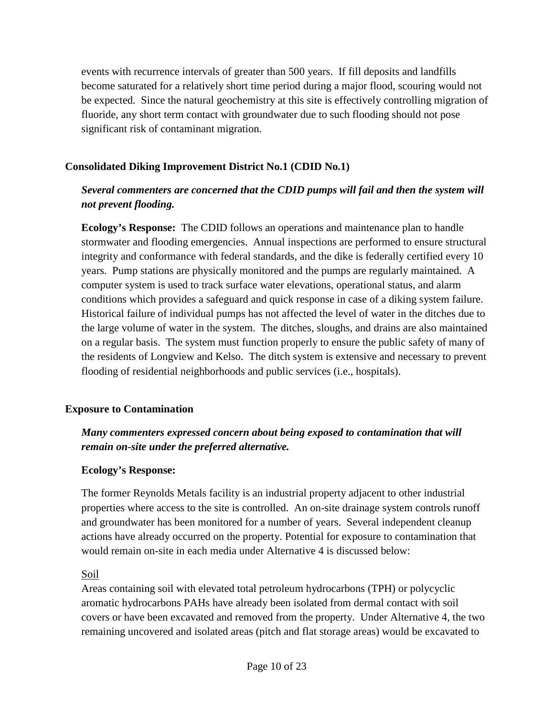events with recurrence intervals of greater than 500 years. If fill deposits and landfills become saturated for a relatively short time period during a major flood, scouring would not be expected. Since the natural geochemistry at this site is effectively controlling migration of fluoride, any short term contact with groundwater due to such flooding should not pose significant risk of contaminant migration.

## **Consolidated Diking Improvement District No.1 (CDID No.1)**

# *Several commenters are concerned that the CDID pumps will fail and then the system will not prevent flooding.*

**Ecology's Response:** The CDID follows an operations and maintenance plan to handle stormwater and flooding emergencies. Annual inspections are performed to ensure structural integrity and conformance with federal standards, and the dike is federally certified every 10 years. Pump stations are physically monitored and the pumps are regularly maintained. A computer system is used to track surface water elevations, operational status, and alarm conditions which provides a safeguard and quick response in case of a diking system failure. Historical failure of individual pumps has not affected the level of water in the ditches due to the large volume of water in the system. The ditches, sloughs, and drains are also maintained on a regular basis. The system must function properly to ensure the public safety of many of the residents of Longview and Kelso. The ditch system is extensive and necessary to prevent flooding of residential neighborhoods and public services (i.e., hospitals).

### **Exposure to Contamination**

# *Many commenters expressed concern about being exposed to contamination that will remain on-site under the preferred alternative.*

#### **Ecology's Response:**

The former Reynolds Metals facility is an industrial property adjacent to other industrial properties where access to the site is controlled. An on-site drainage system controls runoff and groundwater has been monitored for a number of years. Several independent cleanup actions have already occurred on the property. Potential for exposure to contamination that would remain on-site in each media under Alternative 4 is discussed below:

### Soil

Areas containing soil with elevated total petroleum hydrocarbons (TPH) or polycyclic aromatic hydrocarbons PAHs have already been isolated from dermal contact with soil covers or have been excavated and removed from the property. Under Alternative 4, the two remaining uncovered and isolated areas (pitch and flat storage areas) would be excavated to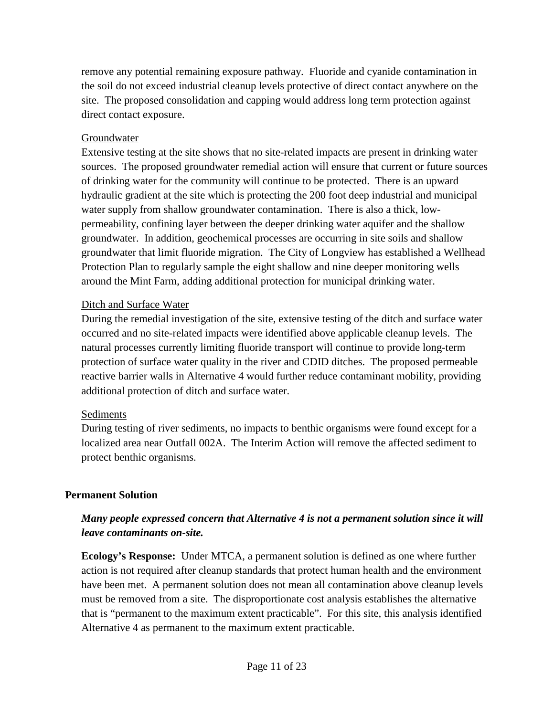remove any potential remaining exposure pathway. Fluoride and cyanide contamination in the soil do not exceed industrial cleanup levels protective of direct contact anywhere on the site. The proposed consolidation and capping would address long term protection against direct contact exposure.

### Groundwater

Extensive testing at the site shows that no site-related impacts are present in drinking water sources. The proposed groundwater remedial action will ensure that current or future sources of drinking water for the community will continue to be protected. There is an upward hydraulic gradient at the site which is protecting the 200 foot deep industrial and municipal water supply from shallow groundwater contamination. There is also a thick, lowpermeability, confining layer between the deeper drinking water aquifer and the shallow groundwater. In addition, geochemical processes are occurring in site soils and shallow groundwater that limit fluoride migration. The City of Longview has established a Wellhead Protection Plan to regularly sample the eight shallow and nine deeper monitoring wells around the Mint Farm, adding additional protection for municipal drinking water.

### Ditch and Surface Water

During the remedial investigation of the site, extensive testing of the ditch and surface water occurred and no site-related impacts were identified above applicable cleanup levels. The natural processes currently limiting fluoride transport will continue to provide long-term protection of surface water quality in the river and CDID ditches. The proposed permeable reactive barrier walls in Alternative 4 would further reduce contaminant mobility, providing additional protection of ditch and surface water.

#### **Sediments**

During testing of river sediments, no impacts to benthic organisms were found except for a localized area near Outfall 002A. The Interim Action will remove the affected sediment to protect benthic organisms.

### **Permanent Solution**

# *Many people expressed concern that Alternative 4 is not a permanent solution since it will leave contaminants on-site.*

**Ecology's Response:** Under MTCA, a permanent solution is defined as one where further action is not required after cleanup standards that protect human health and the environment have been met. A permanent solution does not mean all contamination above cleanup levels must be removed from a site. The disproportionate cost analysis establishes the alternative that is "permanent to the maximum extent practicable". For this site, this analysis identified Alternative 4 as permanent to the maximum extent practicable.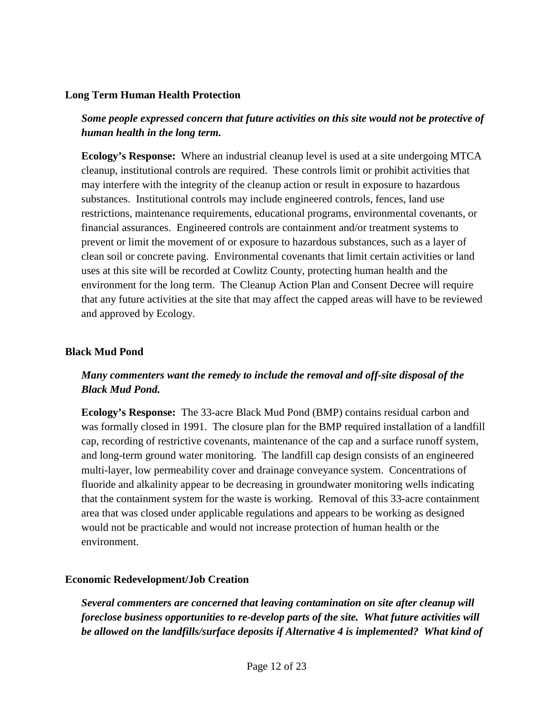#### **Long Term Human Health Protection**

## *Some people expressed concern that future activities on this site would not be protective of human health in the long term.*

**Ecology's Response:** Where an industrial cleanup level is used at a site undergoing MTCA cleanup, institutional controls are required. These controls limit or prohibit activities that may interfere with the integrity of the cleanup action or result in exposure to hazardous substances. Institutional controls may include engineered controls, fences, land use restrictions, maintenance requirements, educational programs, environmental covenants, or financial assurances. Engineered controls are containment and/or treatment systems to prevent or limit the movement of or exposure to hazardous substances, such as a layer of clean soil or concrete paving. Environmental covenants that limit certain activities or land uses at this site will be recorded at Cowlitz County, protecting human health and the environment for the long term. The Cleanup Action Plan and Consent Decree will require that any future activities at the site that may affect the capped areas will have to be reviewed and approved by Ecology.

#### **Black Mud Pond**

# *Many commenters want the remedy to include the removal and off-site disposal of the Black Mud Pond.*

**Ecology's Response:** The 33-acre Black Mud Pond (BMP) contains residual carbon and was formally closed in 1991. The closure plan for the BMP required installation of a landfill cap, recording of restrictive covenants, maintenance of the cap and a surface runoff system, and long-term ground water monitoring. The landfill cap design consists of an engineered multi-layer, low permeability cover and drainage conveyance system. Concentrations of fluoride and alkalinity appear to be decreasing in groundwater monitoring wells indicating that the containment system for the waste is working. Removal of this 33-acre containment area that was closed under applicable regulations and appears to be working as designed would not be practicable and would not increase protection of human health or the environment.

#### **Economic Redevelopment/Job Creation**

*Several commenters are concerned that leaving contamination on site after cleanup will foreclose business opportunities to re-develop parts of the site. What future activities will be allowed on the landfills/surface deposits if Alternative 4 is implemented? What kind of*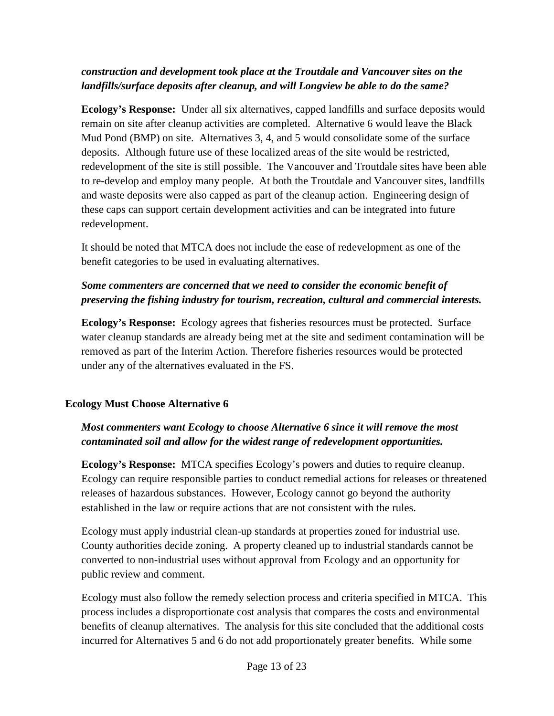### *construction and development took place at the Troutdale and Vancouver sites on the landfills/surface deposits after cleanup, and will Longview be able to do the same?*

**Ecology's Response:** Under all six alternatives, capped landfills and surface deposits would remain on site after cleanup activities are completed. Alternative 6 would leave the Black Mud Pond (BMP) on site. Alternatives 3, 4, and 5 would consolidate some of the surface deposits. Although future use of these localized areas of the site would be restricted, redevelopment of the site is still possible. The Vancouver and Troutdale sites have been able to re-develop and employ many people. At both the Troutdale and Vancouver sites, landfills and waste deposits were also capped as part of the cleanup action. Engineering design of these caps can support certain development activities and can be integrated into future redevelopment.

It should be noted that MTCA does not include the ease of redevelopment as one of the benefit categories to be used in evaluating alternatives.

# *Some commenters are concerned that we need to consider the economic benefit of preserving the fishing industry for tourism, recreation, cultural and commercial interests.*

**Ecology's Response:** Ecology agrees that fisheries resources must be protected. Surface water cleanup standards are already being met at the site and sediment contamination will be removed as part of the Interim Action. Therefore fisheries resources would be protected under any of the alternatives evaluated in the FS.

### **Ecology Must Choose Alternative 6**

# *Most commenters want Ecology to choose Alternative 6 since it will remove the most contaminated soil and allow for the widest range of redevelopment opportunities.*

**Ecology's Response:** MTCA specifies Ecology's powers and duties to require cleanup. Ecology can require responsible parties to conduct remedial actions for releases or threatened releases of hazardous substances. However, Ecology cannot go beyond the authority established in the law or require actions that are not consistent with the rules.

Ecology must apply industrial clean-up standards at properties zoned for industrial use. County authorities decide zoning. A property cleaned up to industrial standards cannot be converted to non-industrial uses without approval from Ecology and an opportunity for public review and comment.

Ecology must also follow the remedy selection process and criteria specified in MTCA. This process includes a disproportionate cost analysis that compares the costs and environmental benefits of cleanup alternatives. The analysis for this site concluded that the additional costs incurred for Alternatives 5 and 6 do not add proportionately greater benefits. While some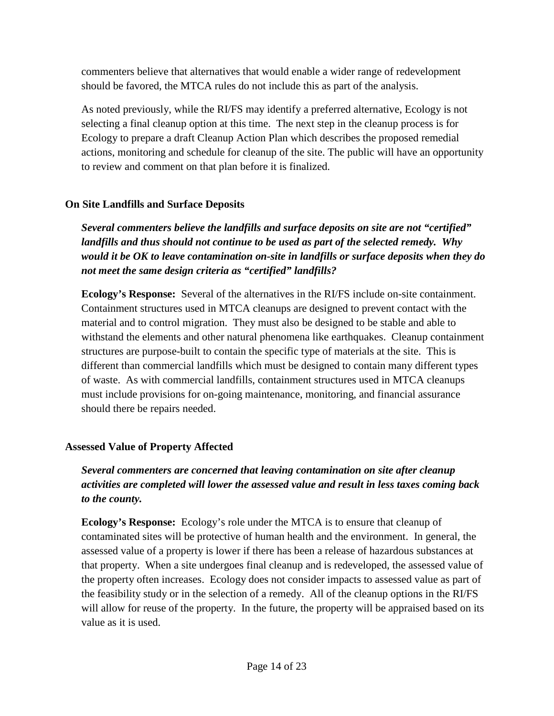commenters believe that alternatives that would enable a wider range of redevelopment should be favored, the MTCA rules do not include this as part of the analysis.

As noted previously, while the RI/FS may identify a preferred alternative, Ecology is not selecting a final cleanup option at this time. The next step in the cleanup process is for Ecology to prepare a draft Cleanup Action Plan which describes the proposed remedial actions, monitoring and schedule for cleanup of the site. The public will have an opportunity to review and comment on that plan before it is finalized.

# **On Site Landfills and Surface Deposits**

*Several commenters believe the landfills and surface deposits on site are not "certified" landfills and thus should not continue to be used as part of the selected remedy. Why would it be OK to leave contamination on-site in landfills or surface deposits when they do not meet the same design criteria as "certified" landfills?*

**Ecology's Response:**Several of the alternatives in the RI/FS include on-site containment. Containment structures used in MTCA cleanups are designed to prevent contact with the material and to control migration. They must also be designed to be stable and able to withstand the elements and other natural phenomena like earthquakes. Cleanup containment structures are purpose-built to contain the specific type of materials at the site. This is different than commercial landfills which must be designed to contain many different types of waste. As with commercial landfills, containment structures used in MTCA cleanups must include provisions for on-going maintenance, monitoring, and financial assurance should there be repairs needed.

# **Assessed Value of Property Affected**

*Several commenters are concerned that leaving contamination on site after cleanup activities are completed will lower the assessed value and result in less taxes coming back to the county.*

**Ecology's Response:** Ecology's role under the MTCA is to ensure that cleanup of contaminated sites will be protective of human health and the environment. In general, the assessed value of a property is lower if there has been a release of hazardous substances at that property. When a site undergoes final cleanup and is redeveloped, the assessed value of the property often increases. Ecology does not consider impacts to assessed value as part of the feasibility study or in the selection of a remedy. All of the cleanup options in the RI/FS will allow for reuse of the property. In the future, the property will be appraised based on its value as it is used.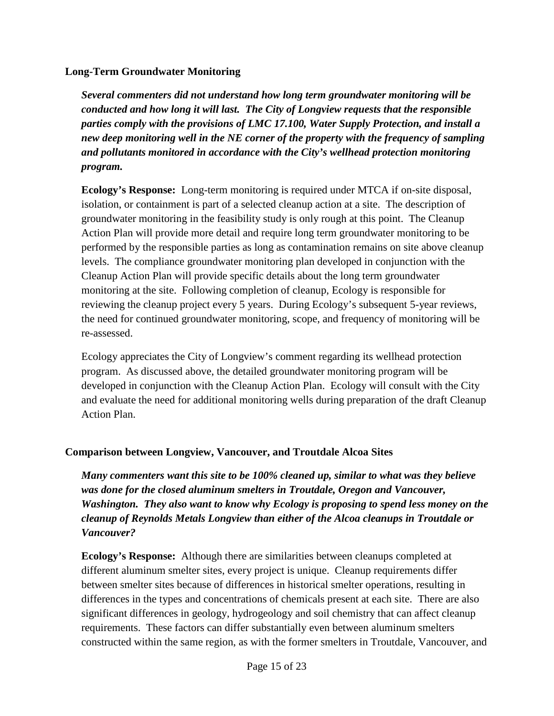#### **Long-Term Groundwater Monitoring**

*Several commenters did not understand how long term groundwater monitoring will be conducted and how long it will last. The City of Longview requests that the responsible parties comply with the provisions of LMC 17.100, Water Supply Protection, and install a new deep monitoring well in the NE corner of the property with the frequency of sampling and pollutants monitored in accordance with the City's wellhead protection monitoring program.*

**Ecology's Response:** Long-term monitoring is required under MTCA if on-site disposal, isolation, or containment is part of a selected cleanup action at a site. The description of groundwater monitoring in the feasibility study is only rough at this point. The Cleanup Action Plan will provide more detail and require long term groundwater monitoring to be performed by the responsible parties as long as contamination remains on site above cleanup levels. The compliance groundwater monitoring plan developed in conjunction with the Cleanup Action Plan will provide specific details about the long term groundwater monitoring at the site. Following completion of cleanup, Ecology is responsible for reviewing the cleanup project every 5 years. During Ecology's subsequent 5-year reviews, the need for continued groundwater monitoring, scope, and frequency of monitoring will be re-assessed.

Ecology appreciates the City of Longview's comment regarding its wellhead protection program. As discussed above, the detailed groundwater monitoring program will be developed in conjunction with the Cleanup Action Plan. Ecology will consult with the City and evaluate the need for additional monitoring wells during preparation of the draft Cleanup Action Plan.

### **Comparison between Longview, Vancouver, and Troutdale Alcoa Sites**

*Many commenters want this site to be 100% cleaned up, similar to what was they believe was done for the closed aluminum smelters in Troutdale, Oregon and Vancouver, Washington. They also want to know why Ecology is proposing to spend less money on the cleanup of Reynolds Metals Longview than either of the Alcoa cleanups in Troutdale or Vancouver?*

**Ecology's Response:** Although there are similarities between cleanups completed at different aluminum smelter sites, every project is unique. Cleanup requirements differ between smelter sites because of differences in historical smelter operations, resulting in differences in the types and concentrations of chemicals present at each site. There are also significant differences in geology, hydrogeology and soil chemistry that can affect cleanup requirements. These factors can differ substantially even between aluminum smelters constructed within the same region, as with the former smelters in Troutdale, Vancouver, and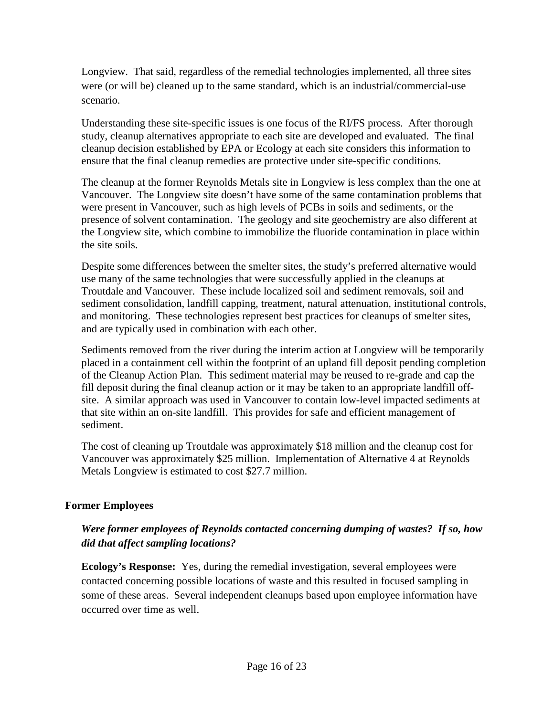Longview. That said, regardless of the remedial technologies implemented, all three sites were (or will be) cleaned up to the same standard, which is an industrial/commercial-use scenario.

Understanding these site-specific issues is one focus of the RI/FS process. After thorough study, cleanup alternatives appropriate to each site are developed and evaluated. The final cleanup decision established by EPA or Ecology at each site considers this information to ensure that the final cleanup remedies are protective under site-specific conditions.

The cleanup at the former Reynolds Metals site in Longview is less complex than the one at Vancouver. The Longview site doesn't have some of the same contamination problems that were present in Vancouver, such as high levels of PCBs in soils and sediments, or the presence of solvent contamination. The geology and site geochemistry are also different at the Longview site, which combine to immobilize the fluoride contamination in place within the site soils.

Despite some differences between the smelter sites, the study's preferred alternative would use many of the same technologies that were successfully applied in the cleanups at Troutdale and Vancouver. These include localized soil and sediment removals, soil and sediment consolidation, landfill capping, treatment, natural attenuation, institutional controls, and monitoring. These technologies represent best practices for cleanups of smelter sites, and are typically used in combination with each other.

Sediments removed from the river during the interim action at Longview will be temporarily placed in a containment cell within the footprint of an upland fill deposit pending completion of the Cleanup Action Plan. This sediment material may be reused to re-grade and cap the fill deposit during the final cleanup action or it may be taken to an appropriate landfill offsite. A similar approach was used in Vancouver to contain low-level impacted sediments at that site within an on-site landfill. This provides for safe and efficient management of sediment.

The cost of cleaning up Troutdale was approximately \$18 million and the cleanup cost for Vancouver was approximately \$25 million. Implementation of Alternative 4 at Reynolds Metals Longview is estimated to cost \$27.7 million.

### **Former Employees**

# *Were former employees of Reynolds contacted concerning dumping of wastes? If so, how did that affect sampling locations?*

**Ecology's Response:** Yes, during the remedial investigation, several employees were contacted concerning possible locations of waste and this resulted in focused sampling in some of these areas. Several independent cleanups based upon employee information have occurred over time as well.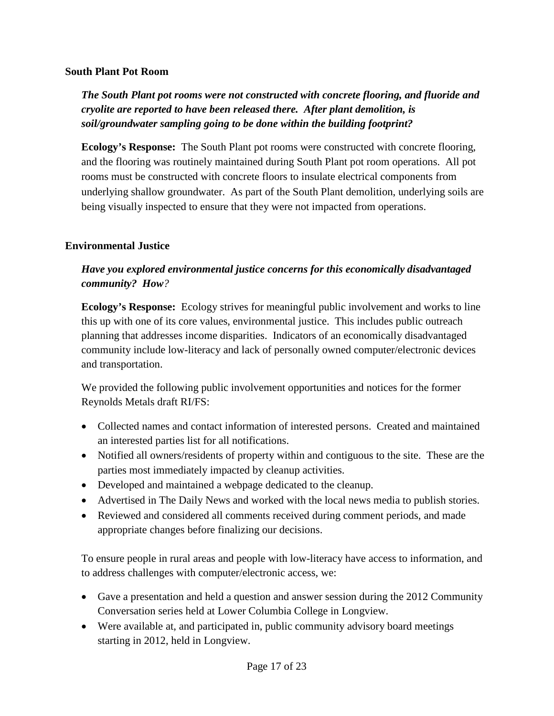#### **South Plant Pot Room**

*The South Plant pot rooms were not constructed with concrete flooring, and fluoride and cryolite are reported to have been released there. After plant demolition, is soil/groundwater sampling going to be done within the building footprint?*

**Ecology's Response:** The South Plant pot rooms were constructed with concrete flooring, and the flooring was routinely maintained during South Plant pot room operations. All pot rooms must be constructed with concrete floors to insulate electrical components from underlying shallow groundwater. As part of the South Plant demolition, underlying soils are being visually inspected to ensure that they were not impacted from operations.

### **Environmental Justice**

# *Have you explored environmental justice concerns for this economically disadvantaged community? How?*

**Ecology's Response:** Ecology strives for meaningful public involvement and works to line this up with one of its core values, environmental justice. This includes public outreach planning that addresses income disparities. Indicators of an economically disadvantaged community include low-literacy and lack of personally owned computer/electronic devices and transportation.

We provided the following public involvement opportunities and notices for the former Reynolds Metals draft RI/FS:

- Collected names and contact information of interested persons. Created and maintained an interested parties list for all notifications.
- Notified all owners/residents of property within and contiguous to the site. These are the parties most immediately impacted by cleanup activities.
- Developed and maintained a webpage dedicated to the cleanup.
- Advertised in The Daily News and worked with the local news media to publish stories.
- Reviewed and considered all comments received during comment periods, and made appropriate changes before finalizing our decisions.

To ensure people in rural areas and people with low-literacy have access to information, and to address challenges with computer/electronic access, we:

- Gave a presentation and held a question and answer session during the 2012 Community Conversation series held at Lower Columbia College in Longview.
- Were available at, and participated in, public community advisory board meetings starting in 2012, held in Longview.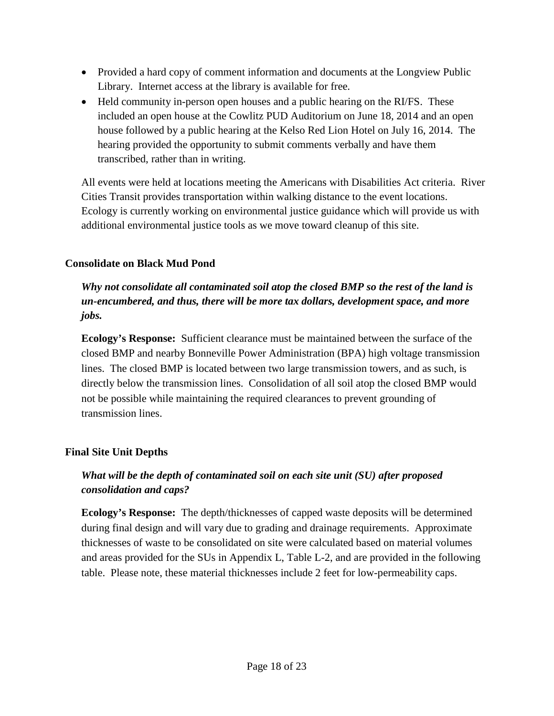- Provided a hard copy of comment information and documents at the Longview Public Library. Internet access at the library is available for free.
- Held community in-person open houses and a public hearing on the RI/FS. These included an open house at the Cowlitz PUD Auditorium on June 18, 2014 and an open house followed by a public hearing at the Kelso Red Lion Hotel on July 16, 2014. The hearing provided the opportunity to submit comments verbally and have them transcribed, rather than in writing.

All events were held at locations meeting the Americans with Disabilities Act criteria. River Cities Transit provides transportation within walking distance to the event locations. Ecology is currently working on environmental justice guidance which will provide us with additional environmental justice tools as we move toward cleanup of this site.

### **Consolidate on Black Mud Pond**

# *Why not consolidate all contaminated soil atop the closed BMP so the rest of the land is un-encumbered, and thus, there will be more tax dollars, development space, and more jobs.*

**Ecology's Response:** Sufficient clearance must be maintained between the surface of the closed BMP and nearby Bonneville Power Administration (BPA) high voltage transmission lines. The closed BMP is located between two large transmission towers, and as such, is directly below the transmission lines. Consolidation of all soil atop the closed BMP would not be possible while maintaining the required clearances to prevent grounding of transmission lines.

### **Final Site Unit Depths**

# *What will be the depth of contaminated soil on each site unit (SU) after proposed consolidation and caps?*

**Ecology's Response:** The depth/thicknesses of capped waste deposits will be determined during final design and will vary due to grading and drainage requirements. Approximate thicknesses of waste to be consolidated on site were calculated based on material volumes and areas provided for the SUs in Appendix L, Table L-2, and are provided in the following table. Please note, these material thicknesses include 2 feet for low-permeability caps.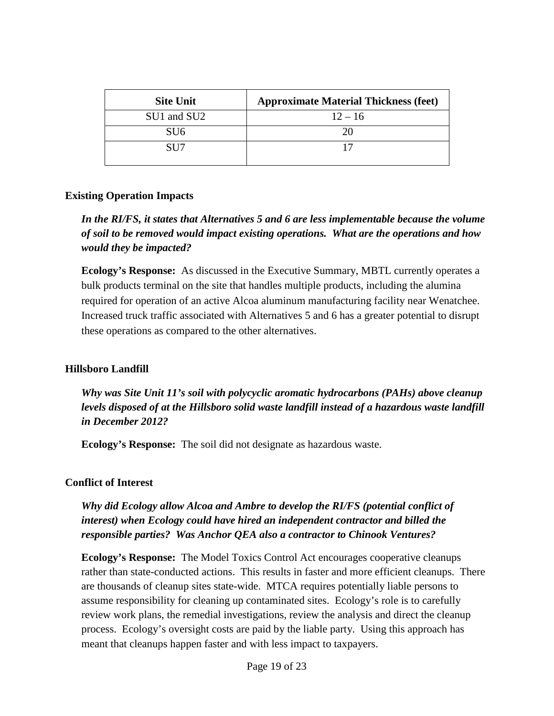| <b>Site Unit</b> | <b>Approximate Material Thickness (feet)</b> |
|------------------|----------------------------------------------|
| SU1 and SU2      | $12 - 16$                                    |
| SU6              | 20                                           |
| SU <sub>7</sub>  |                                              |

#### **Existing Operation Impacts**

*In the RI/FS, it states that Alternatives 5 and 6 are less implementable because the volume of soil to be removed would impact existing operations. What are the operations and how would they be impacted?*

**Ecology's Response:** As discussed in the Executive Summary, MBTL currently operates a bulk products terminal on the site that handles multiple products, including the alumina required for operation of an active Alcoa aluminum manufacturing facility near Wenatchee. Increased truck traffic associated with Alternatives 5 and 6 has a greater potential to disrupt these operations as compared to the other alternatives.

#### **Hillsboro Landfill**

*Why was Site Unit 11's soil with polycyclic aromatic hydrocarbons (PAHs) above cleanup levels disposed of at the Hillsboro solid waste landfill instead of a hazardous waste landfill in December 2012?*

**Ecology's Response:** The soil did not designate as hazardous waste.

#### **Conflict of Interest**

*Why did Ecology allow Alcoa and Ambre to develop the RI/FS (potential conflict of interest) when Ecology could have hired an independent contractor and billed the responsible parties? Was Anchor QEA also a contractor to Chinook Ventures?*

**Ecology's Response:** The Model Toxics Control Act encourages cooperative cleanups rather than state-conducted actions. This results in faster and more efficient cleanups. There are thousands of cleanup sites state-wide. MTCA requires potentially liable persons to assume responsibility for cleaning up contaminated sites. Ecology's role is to carefully review work plans, the remedial investigations, review the analysis and direct the cleanup process. Ecology's oversight costs are paid by the liable party. Using this approach has meant that cleanups happen faster and with less impact to taxpayers.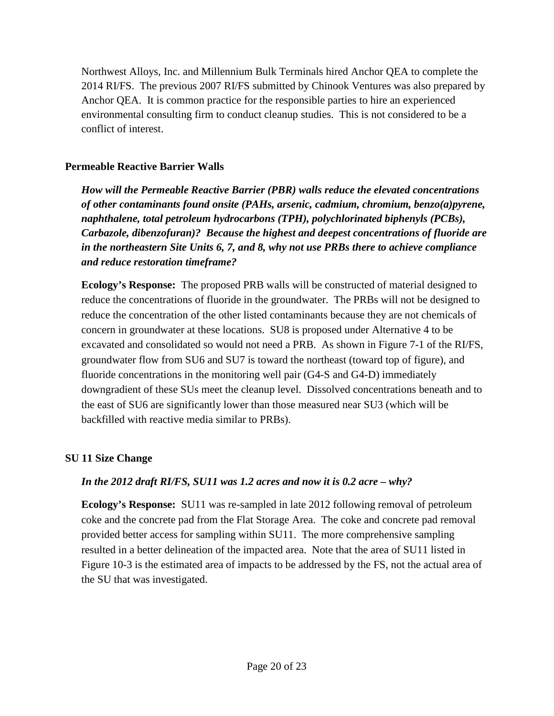Northwest Alloys, Inc. and Millennium Bulk Terminals hired Anchor QEA to complete the 2014 RI/FS. The previous 2007 RI/FS submitted by Chinook Ventures was also prepared by Anchor QEA. It is common practice for the responsible parties to hire an experienced environmental consulting firm to conduct cleanup studies. This is not considered to be a conflict of interest.

### **Permeable Reactive Barrier Walls**

*How will the Permeable Reactive Barrier (PBR) walls reduce the elevated concentrations of other contaminants found onsite (PAHs, arsenic, cadmium, chromium, benzo(a)pyrene, naphthalene, total petroleum hydrocarbons (TPH), polychlorinated biphenyls (PCBs), Carbazole, dibenzofuran)? Because the highest and deepest concentrations of fluoride are in the northeastern Site Units 6, 7, and 8, why not use PRBs there to achieve compliance and reduce restoration timeframe?*

**Ecology's Response:** The proposed PRB walls will be constructed of material designed to reduce the concentrations of fluoride in the groundwater. The PRBs will not be designed to reduce the concentration of the other listed contaminants because they are not chemicals of concern in groundwater at these locations. SU8 is proposed under Alternative 4 to be excavated and consolidated so would not need a PRB. As shown in Figure 7-1 of the RI/FS, groundwater flow from SU6 and SU7 is toward the northeast (toward top of figure), and fluoride concentrations in the monitoring well pair (G4-S and G4-D) immediately downgradient of these SUs meet the cleanup level. Dissolved concentrations beneath and to the east of SU6 are significantly lower than those measured near SU3 (which will be backfilled with reactive media similar to PRBs).

### **SU 11 Size Change**

### *In the 2012 draft RI/FS, SU11 was 1.2 acres and now it is 0.2 acre – why?*

**Ecology's Response:** SU11 was re-sampled in late 2012 following removal of petroleum coke and the concrete pad from the Flat Storage Area. The coke and concrete pad removal provided better access for sampling within SU11. The more comprehensive sampling resulted in a better delineation of the impacted area. Note that the area of SU11 listed in Figure 10-3 is the estimated area of impacts to be addressed by the FS, not the actual area of the SU that was investigated.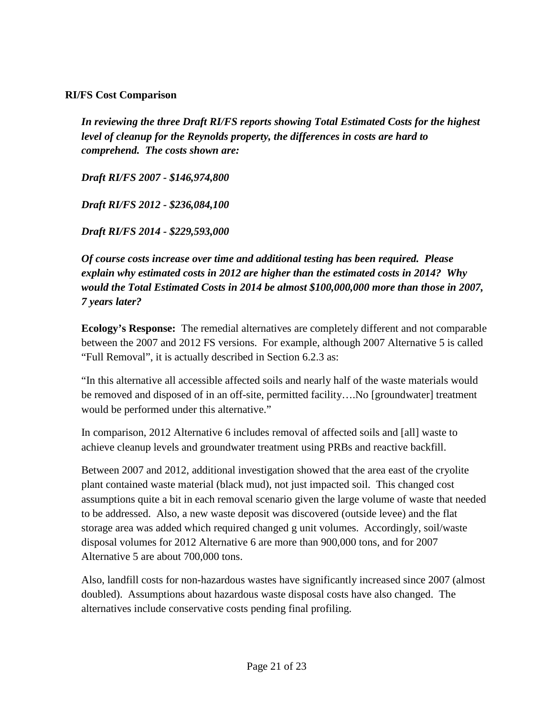### **RI/FS Cost Comparison**

*In reviewing the three Draft RI/FS reports showing Total Estimated Costs for the highest level of cleanup for the Reynolds property, the differences in costs are hard to comprehend. The costs shown are:*

*Draft RI/FS 2007 - \$146,974,800* 

*Draft RI/FS 2012 - \$236,084,100* 

*Draft RI/FS 2014 - \$229,593,000*

*Of course costs increase over time and additional testing has been required. Please explain why estimated costs in 2012 are higher than the estimated costs in 2014? Why would the Total Estimated Costs in 2014 be almost \$100,000,000 more than those in 2007, 7 years later?* 

**Ecology's Response:** The remedial alternatives are completely different and not comparable between the 2007 and 2012 FS versions. For example, although 2007 Alternative 5 is called "Full Removal", it is actually described in Section 6.2.3 as:

"In this alternative all accessible affected soils and nearly half of the waste materials would be removed and disposed of in an off-site, permitted facility….No [groundwater] treatment would be performed under this alternative."

In comparison, 2012 Alternative 6 includes removal of affected soils and [all] waste to achieve cleanup levels and groundwater treatment using PRBs and reactive backfill.

Between 2007 and 2012, additional investigation showed that the area east of the cryolite plant contained waste material (black mud), not just impacted soil. This changed cost assumptions quite a bit in each removal scenario given the large volume of waste that needed to be addressed. Also, a new waste deposit was discovered (outside levee) and the flat storage area was added which required changed g unit volumes. Accordingly, soil/waste disposal volumes for 2012 Alternative 6 are more than 900,000 tons, and for 2007 Alternative 5 are about 700,000 tons.

Also, landfill costs for non-hazardous wastes have significantly increased since 2007 (almost doubled). Assumptions about hazardous waste disposal costs have also changed. The alternatives include conservative costs pending final profiling.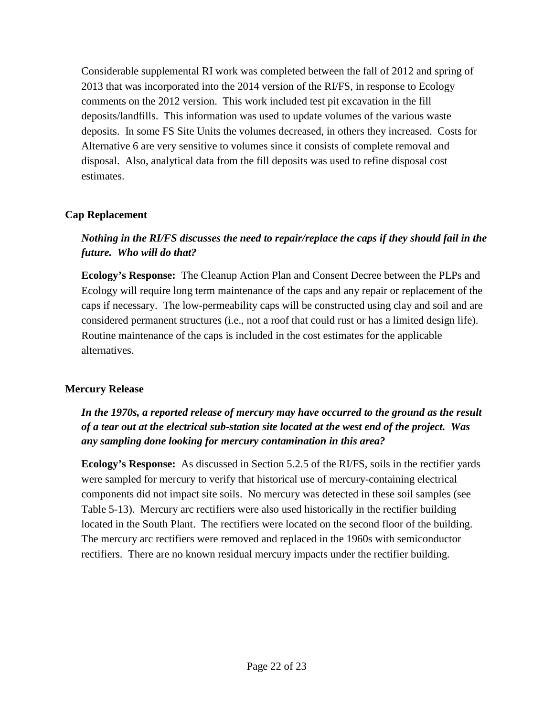Considerable supplemental RI work was completed between the fall of 2012 and spring of 2013 that was incorporated into the 2014 version of the RI/FS, in response to Ecology comments on the 2012 version. This work included test pit excavation in the fill deposits/landfills. This information was used to update volumes of the various waste deposits. In some FS Site Units the volumes decreased, in others they increased. Costs for Alternative 6 are very sensitive to volumes since it consists of complete removal and disposal. Also, analytical data from the fill deposits was used to refine disposal cost estimates.

### **Cap Replacement**

# *Nothing in the RI/FS discusses the need to repair/replace the caps if they should fail in the future. Who will do that?*

**Ecology's Response:** The Cleanup Action Plan and Consent Decree between the PLPs and Ecology will require long term maintenance of the caps and any repair or replacement of the caps if necessary. The low-permeability caps will be constructed using clay and soil and are considered permanent structures (i.e., not a roof that could rust or has a limited design life). Routine maintenance of the caps is included in the cost estimates for the applicable alternatives.

#### **Mercury Release**

*In the 1970s, a reported release of mercury may have occurred to the ground as the result of a tear out at the electrical sub-station site located at the west end of the project. Was any sampling done looking for mercury contamination in this area?*

**Ecology's Response:** As discussed in Section 5.2.5 of the RI/FS, soils in the rectifier yards were sampled for mercury to verify that historical use of mercury-containing electrical components did not impact site soils. No mercury was detected in these soil samples (see Table 5-13). Mercury arc rectifiers were also used historically in the rectifier building located in the South Plant. The rectifiers were located on the second floor of the building. The mercury arc rectifiers were removed and replaced in the 1960s with semiconductor rectifiers. There are no known residual mercury impacts under the rectifier building.